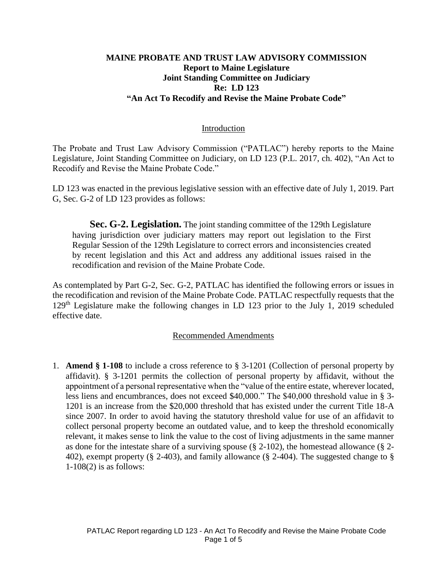### **MAINE PROBATE AND TRUST LAW ADVISORY COMMISSION Report to Maine Legislature Joint Standing Committee on Judiciary Re: LD 123 "An Act To Recodify and Revise the Maine Probate Code"**

#### Introduction

The Probate and Trust Law Advisory Commission ("PATLAC") hereby reports to the Maine Legislature, Joint Standing Committee on Judiciary, on LD 123 (P.L. 2017, ch. 402), "An Act to Recodify and Revise the Maine Probate Code."

LD 123 was enacted in the previous legislative session with an effective date of July 1, 2019. Part G, Sec. G-2 of LD 123 provides as follows:

**Sec. G-2. Legislation.** The joint standing committee of the 129th Legislature having jurisdiction over judiciary matters may report out legislation to the First Regular Session of the 129th Legislature to correct errors and inconsistencies created by recent legislation and this Act and address any additional issues raised in the recodification and revision of the Maine Probate Code.

As contemplated by Part G-2, Sec. G-2, PATLAC has identified the following errors or issues in the recodification and revision of the Maine Probate Code. PATLAC respectfully requests that the  $129<sup>th</sup>$  Legislature make the following changes in LD 123 prior to the July 1, 2019 scheduled effective date.

#### Recommended Amendments

1. **Amend § 1-108** to include a cross reference to § 3-1201 (Collection of personal property by affidavit). § 3-1201 permits the collection of personal property by affidavit, without the appointment of a personal representative when the "value of the entire estate, wherever located, less liens and encumbrances, does not exceed \$40,000." The \$40,000 threshold value in § 3- 1201 is an increase from the \$20,000 threshold that has existed under the current Title 18-A since 2007. In order to avoid having the statutory threshold value for use of an affidavit to collect personal property become an outdated value, and to keep the threshold economically relevant, it makes sense to link the value to the cost of living adjustments in the same manner as done for the intestate share of a surviving spouse  $(\xi 2-102)$ , the homestead allowance  $(\xi 2-102)$ 402), exempt property (§ 2-403), and family allowance (§ 2-404). The suggested change to § 1-108(2) is as follows: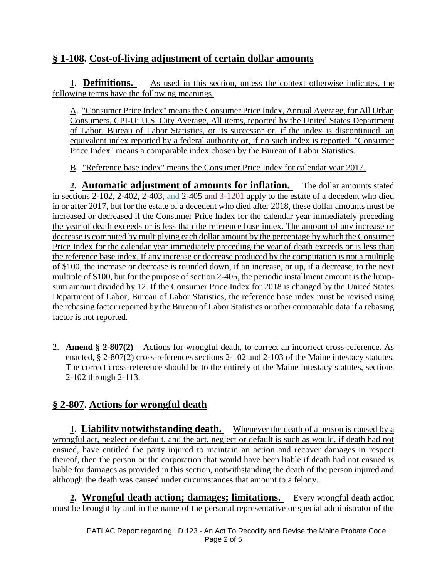# **§ 1-108. Cost-of-living adjustment of certain dollar amounts**

**1. Definitions.** As used in this section, unless the context otherwise indicates, the following terms have the following meanings.

A. "Consumer Price Index" means the Consumer Price Index, Annual Average, for All Urban Consumers, CPI-U: U.S. City Average, All items, reported by the United States Department of Labor, Bureau of Labor Statistics, or its successor or, if the index is discontinued, an equivalent index reported by a federal authority or, if no such index is reported, "Consumer Price Index" means a comparable index chosen by the Bureau of Labor Statistics.

B. "Reference base index" means the Consumer Price Index for calendar year 2017.

**2. Automatic adjustment of amounts for inflation.** The dollar amounts stated in sections 2-102, 2-402, 2-403, and 2-405 and 3-1201 apply to the estate of a decedent who died in or after 2017, but for the estate of a decedent who died after 2018, these dollar amounts must be increased or decreased if the Consumer Price Index for the calendar year immediately preceding the year of death exceeds or is less than the reference base index. The amount of any increase or decrease is computed by multiplying each dollar amount by the percentage by which the Consumer Price Index for the calendar year immediately preceding the year of death exceeds or is less than the reference base index. If any increase or decrease produced by the computation is not a multiple of \$100, the increase or decrease is rounded down, if an increase, or up, if a decrease, to the next multiple of \$100, but for the purpose of section 2-405, the periodic installment amount is the lumpsum amount divided by 12. If the Consumer Price Index for 2018 is changed by the United States Department of Labor, Bureau of Labor Statistics, the reference base index must be revised using the rebasing factor reported by the Bureau of Labor Statistics or other comparable data if a rebasing factor is not reported.

2. **Amend § 2-807(2)** – Actions for wrongful death, to correct an incorrect cross-reference. As enacted, § 2-807(2) cross-references sections 2-102 and 2-103 of the Maine intestacy statutes. The correct cross-reference should be to the entirely of the Maine intestacy statutes, sections 2-102 through 2-113.

# **§ 2-807. Actions for wrongful death**

**1. Liability notwithstanding death.** Whenever the death of a person is caused by a wrongful act, neglect or default, and the act, neglect or default is such as would, if death had not ensued, have entitled the party injured to maintain an action and recover damages in respect thereof, then the person or the corporation that would have been liable if death had not ensued is liable for damages as provided in this section, notwithstanding the death of the person injured and although the death was caused under circumstances that amount to a felony.

**2. Wrongful death action; damages; limitations.** Every wrongful death action must be brought by and in the name of the personal representative or special administrator of the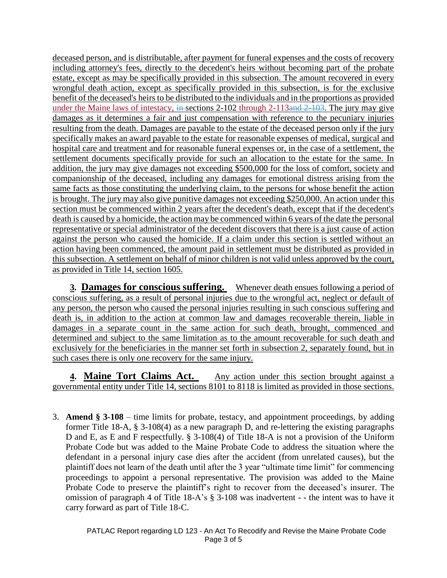deceased person, and is distributable, after payment for funeral expenses and the costs of recovery including attorney's fees, directly to the decedent's heirs without becoming part of the probate estate, except as may be specifically provided in this subsection. The amount recovered in every wrongful death action, except as specifically provided in this subsection, is for the exclusive benefit of the deceased's heirs to be distributed to the individuals and in the proportions as provided under the Maine laws of intestacy, in sections 2-102 through 2-113and 2-103. The jury may give damages as it determines a fair and just compensation with reference to the pecuniary injuries resulting from the death. Damages are payable to the estate of the deceased person only if the jury specifically makes an award payable to the estate for reasonable expenses of medical, surgical and hospital care and treatment and for reasonable funeral expenses or, in the case of a settlement, the settlement documents specifically provide for such an allocation to the estate for the same. In addition, the jury may give damages not exceeding \$500,000 for the loss of comfort, society and companionship of the deceased, including any damages for emotional distress arising from the same facts as those constituting the underlying claim, to the persons for whose benefit the action is brought. The jury may also give punitive damages not exceeding \$250,000. An action under this section must be commenced within 2 years after the decedent's death, except that if the decedent's death is caused by a homicide, the action may be commenced within 6 years of the date the personal representative or special administrator of the decedent discovers that there is a just cause of action against the person who caused the homicide. If a claim under this section is settled without an action having been commenced, the amount paid in settlement must be distributed as provided in this subsection. A settlement on behalf of minor children is not valid unless approved by the court, as provided in Title 14, section 1605.

**3. Damages for conscious suffering.** Whenever death ensues following a period of conscious suffering, as a result of personal injuries due to the wrongful act, neglect or default of any person, the person who caused the personal injuries resulting in such conscious suffering and death is, in addition to the action at common law and damages recoverable therein, liable in damages in a separate count in the same action for such death, brought, commenced and determined and subject to the same limitation as to the amount recoverable for such death and exclusively for the beneficiaries in the manner set forth in subsection 2, separately found, but in such cases there is only one recovery for the same injury.

**4. Maine Tort Claims Act.** Any action under this section brought against a governmental entity under Title 14, sections 8101 to 8118 is limited as provided in those sections.

3. **Amend § 3-108** – time limits for probate, testacy, and appointment proceedings, by adding former Title 18-A, § 3-108(4) as a new paragraph D, and re-lettering the existing paragraphs D and E, as E and F respectfully. § 3-108(4) of Title 18-A is not a provision of the Uniform Probate Code but was added to the Maine Probate Code to address the situation where the defendant in a personal injury case dies after the accident (from unrelated causes), but the plaintiff does not learn of the death until after the 3 year "ultimate time limit" for commencing proceedings to appoint a personal representative. The provision was added to the Maine Probate Code to preserve the plaintiff's right to recover from the deceased's insurer. The omission of paragraph 4 of Title 18-A's § 3-108 was inadvertent - - the intent was to have it carry forward as part of Title 18-C.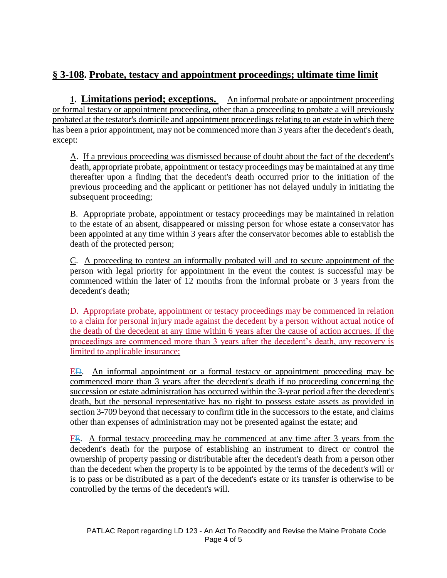# **§ 3-108. Probate, testacy and appointment proceedings; ultimate time limit**

**1. Limitations period; exceptions.** An informal probate or appointment proceeding or formal testacy or appointment proceeding, other than a proceeding to probate a will previously probated at the testator's domicile and appointment proceedings relating to an estate in which there has been a prior appointment, may not be commenced more than 3 years after the decedent's death, except:

A. If a previous proceeding was dismissed because of doubt about the fact of the decedent's death, appropriate probate, appointment or testacy proceedings may be maintained at any time thereafter upon a finding that the decedent's death occurred prior to the initiation of the previous proceeding and the applicant or petitioner has not delayed unduly in initiating the subsequent proceeding;

B. Appropriate probate, appointment or testacy proceedings may be maintained in relation to the estate of an absent, disappeared or missing person for whose estate a conservator has been appointed at any time within 3 years after the conservator becomes able to establish the death of the protected person;

C. A proceeding to contest an informally probated will and to secure appointment of the person with legal priority for appointment in the event the contest is successful may be commenced within the later of 12 months from the informal probate or 3 years from the decedent's death;

D. Appropriate probate, appointment or testacy proceedings may be commenced in relation to a claim for personal injury made against the decedent by a person without actual notice of the death of the decedent at any time within 6 years after the cause of action accrues. If the proceedings are commenced more than 3 years after the decedent's death, any recovery is limited to applicable insurance;

ED. An informal appointment or a formal testacy or appointment proceeding may be commenced more than 3 years after the decedent's death if no proceeding concerning the succession or estate administration has occurred within the 3-year period after the decedent's death, but the personal representative has no right to possess estate assets as provided in section 3-709 beyond that necessary to confirm title in the successors to the estate, and claims other than expenses of administration may not be presented against the estate; and

FE. A formal testacy proceeding may be commenced at any time after 3 years from the decedent's death for the purpose of establishing an instrument to direct or control the ownership of property passing or distributable after the decedent's death from a person other than the decedent when the property is to be appointed by the terms of the decedent's will or is to pass or be distributed as a part of the decedent's estate or its transfer is otherwise to be controlled by the terms of the decedent's will.